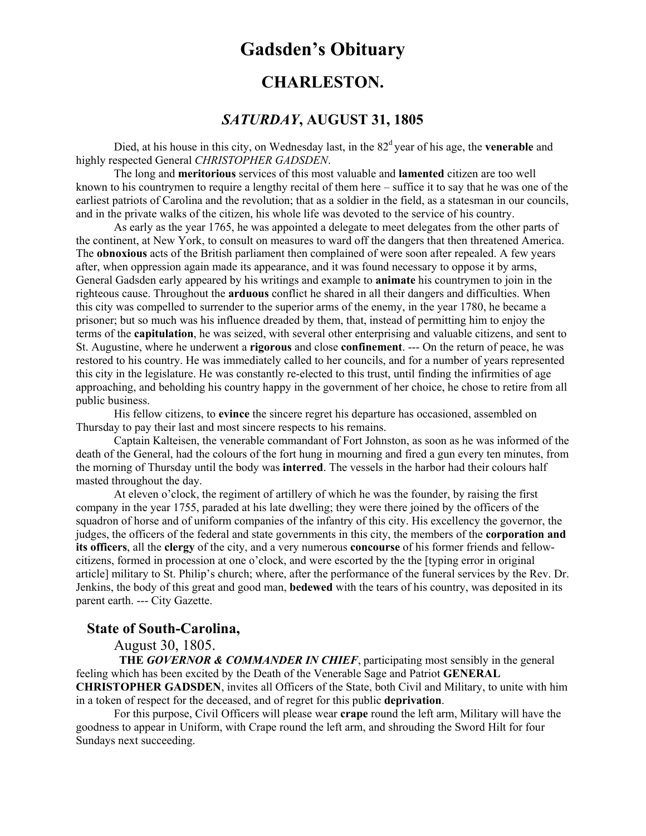# **Gadsden's Obituary**

## **CHARLESTON.**

### *SATURDAY***, AUGUST 31, 1805**

Died, at his house in this city, on Wednesday last, in the 82<sup>d</sup> year of his age, the **venerable** and highly respected General *CHRISTOPHER GADSDEN*.

The long and **meritorious** services of this most valuable and **lamented** citizen are too well known to his countrymen to require a lengthy recital of them here – suffice it to say that he was one of the earliest patriots of Carolina and the revolution; that as a soldier in the field, as a statesman in our councils, and in the private walks of the citizen, his whole life was devoted to the service of his country.

As early as the year 1765, he was appointed a delegate to meet delegates from the other parts of the continent, at New York, to consult on measures to ward off the dangers that then threatened America. The **obnoxious** acts of the British parliament then complained of were soon after repealed. A few years after, when oppression again made its appearance, and it was found necessary to oppose it by arms, General Gadsden early appeared by his writings and example to **animate** his countrymen to join in the righteous cause. Throughout the **arduous** conflict he shared in all their dangers and difficulties. When this city was compelled to surrender to the superior arms of the enemy, in the year 1780, he became a prisoner; but so much was his influence dreaded by them, that, instead of permitting him to enjoy the terms of the **capitulation**, he was seized, with several other enterprising and valuable citizens, and sent to St. Augustine, where he underwent a **rigorous** and close **confinement**. --- On the return of peace, he was restored to his country. He was immediately called to her councils, and for a number of years represented this city in the legislature. He was constantly re-elected to this trust, until finding the infirmities of age approaching, and beholding his country happy in the government of her choice, he chose to retire from all public business.

His fellow citizens, to **evince** the sincere regret his departure has occasioned, assembled on Thursday to pay their last and most sincere respects to his remains.

Captain Kalteisen, the venerable commandant of Fort Johnston, as soon as he was informed of the death of the General, had the colours of the fort hung in mourning and fired a gun every ten minutes, from the morning of Thursday until the body was **interred**. The vessels in the harbor had their colours half masted throughout the day.

At eleven o'clock, the regiment of artillery of which he was the founder, by raising the first company in the year 1755, paraded at his late dwelling; they were there joined by the officers of the squadron of horse and of uniform companies of the infantry of this city. His excellency the governor, the judges, the officers of the federal and state governments in this city, the members of the **corporation and its officers**, all the **clergy** of the city, and a very numerous **concourse** of his former friends and fellow citizens, formed in procession at one o'clock, and were escorted by the the [typing error in original article] military to St. Philip's church; where, after the performance of the funeral services by the Rev. Dr. Jenkins, the body of this great and good man, **bedewed** with the tears of his country, was deposited in its parent earth. --- City Gazette.

#### **State of South-Carolina,**

August 30, 1805.

**THE** *GOVERNOR & COMMANDER IN CHIEF*, participating most sensibly in the general feeling which has been excited by the Death of the Venerable Sage and Patriot **GENERAL CHRISTOPHER GADSDEN**, invites all Officers of the State, both Civil and Military, to unite with him in a token of respect for the deceased, and of regret for this public **deprivation**.

For this purpose, Civil Officers will please wear **crape** round the left arm, Military will have the goodness to appear in Uniform, with Crape round the left arm, and shrouding the Sword Hilt for four Sundays next succeeding.